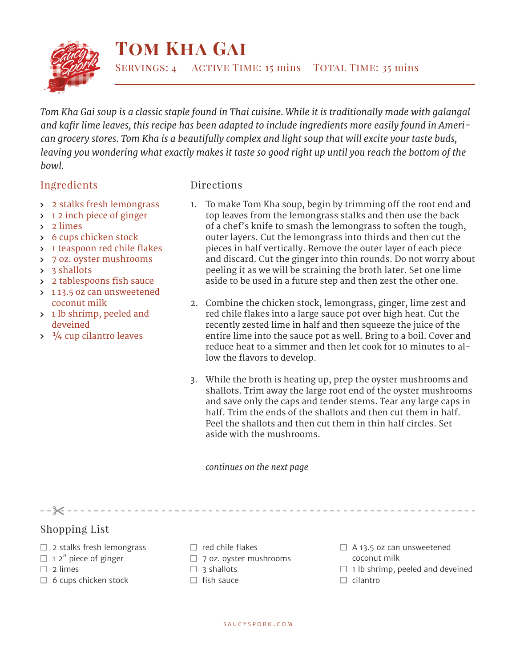

## **Tom Kha Gai**

*Tom Kha Gai soup is a classic staple found in Thai cuisine. While it is traditionally made with galangal and kafir lime leaves, this recipe has been adapted to include ingredients more easily found in American grocery stores. Tom Kha is a beautifully complex and light soup that will excite your taste buds, leaving you wondering what exactly makes it taste so good right up until you reach the bottom of the bowl.*

## Ingredients

## Directions

- 2 stalks fresh lemongrass
- $\rightarrow$  12 inch piece of ginger
- 2 limes
- 6 cups chicken stock
- > 1 teaspoon red chile flakes
- 7 oz. oyster mushrooms
- 3 shallots
- > 2 tablespoons fish sauce
- > 113.5 oz can unsweetened coconut milk
- > 1 lb shrimp, peeled and deveined
- $\frac{1}{4}$  cup cilantro leaves
- 1. To make Tom Kha soup, begin by trimming off the root end and top leaves from the lemongrass stalks and then use the back of a chef's knife to smash the lemongrass to soften the tough, outer layers. Cut the lemongrass into thirds and then cut the pieces in half vertically. Remove the outer layer of each piece and discard. Cut the ginger into thin rounds. Do not worry about peeling it as we will be straining the broth later. Set one lime aside to be used in a future step and then zest the other one.
- 2. Combine the chicken stock, lemongrass, ginger, lime zest and red chile flakes into a large sauce pot over high heat. Cut the recently zested lime in half and then squeeze the juice of the entire lime into the sauce pot as well. Bring to a boil. Cover and reduce heat to a simmer and then let cook for 10 minutes to allow the flavors to develop.
- 3. While the broth is heating up, prep the oyster mushrooms and shallots. Trim away the large root end of the oyster mushrooms and save only the caps and tender stems. Tear any large caps in half. Trim the ends of the shallots and then cut them in half. Peel the shallots and then cut them in thin half circles. Set aside with the mushrooms.

*continues on the next page*

 $- \frac{1}{2}$  - - - - - - - -

- Shopping List
- $\Box$  2 stalks fresh lemongrass
- $\Box$  1 2" piece of ginger
- $\Box$  2 limes
- $\Box$  6 cups chicken stock
- $\Box$  red chile flakes
- $\Box$  7 oz. oyster mushrooms
- $\Box$  3 shallots
- $\Box$  fish sauce
- $\Box$  A 13.5 oz can unsweetened coconut milk
- $\Box$  1 lb shrimp, peeled and deveined
- $\Box$  cilantro